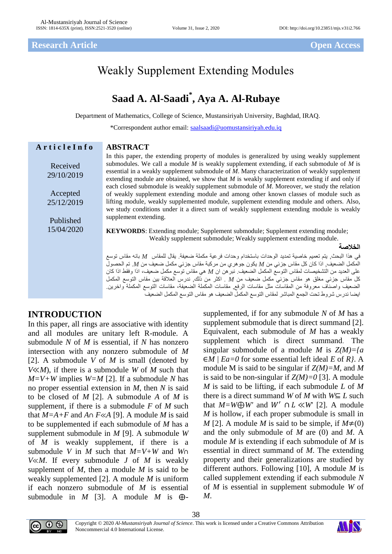# Weakly Supplement Extending Modules

## **Saad A. Al-Saadi\* , Aya A. Al-Rubaye**

Department of Mathematics, College of Science, Mustansiriyah University, Baghdad, IRAQ.

\*Correspondent author email: [saalsaadi@uomustansiriyah.edu.iq](mailto:saalsaadi@uomustansiriyah.edu.iq)

| ArticleInfo            | <b>ABSTRACT</b>                                                                                                                                                                                                                                                                                                                                                                            |
|------------------------|--------------------------------------------------------------------------------------------------------------------------------------------------------------------------------------------------------------------------------------------------------------------------------------------------------------------------------------------------------------------------------------------|
| Received<br>29/10/2019 | In this paper, the extending property of modules is generalized by using weakly supplement<br>submodules. We call a module $M$ is weakly supplement extending, if each submodule of $M$ is<br>essential in a weakly supplement submodule of M. Many characterization of weakly supplement<br>extending module are obtained, we show that $M$ is weakly supplement extending if and only if |
| Accepted               | each closed submodule is weakly supplement submodule of M. Moreover, we study the relation<br>of weakly supplement extending module and among other known classes of module such as                                                                                                                                                                                                        |
| 25/12/2019             | lifting module, weakly supplemented module, supplement extending module and others. Also,                                                                                                                                                                                                                                                                                                  |
| Published              | we study conditions under it a direct sum of weakly supplement extending module is weakly<br>supplement extending.                                                                                                                                                                                                                                                                         |
| 15/04/2020             | <b>KEYWORDS:</b> Extending module; Supplement submodule; Supplement extending module;<br>Weakly supplement submodule; Weakly supplement extending module.                                                                                                                                                                                                                                  |
|                        | الخلاصة                                                                                                                                                                                                                                                                                                                                                                                    |
|                        | في هذا البحث٬ يتم تعميم خاصية تمديد الوحدات باستخدام وحدات فر عية مكملة ضعيفة. يقال للمقاس $M$ بانه مقاس توسع                                                                                                                                                                                                                                                                              |
|                        | المكمل الضعيف إذا كان كل مقاس جزئي من M يكون جو هري من مركبة مقاس جزئي مكمل ضعيف من M. تم الحصول                                                                                                                                                                                                                                                                                           |
|                        | على العديد من التشخيصات لمقاس التوسع المكمل الضعيف نبر هن ان M هي مقاس توسع مكمل ضعيف، اذا وفقط اذا كان                                                                                                                                                                                                                                                                                    |
|                        | كل مقاس جزئي مغلَّق هو مقاس جزئي مكمل ضعيف من M . اكثر من ذلك. ندرس العلاقة بين مقاس التوسع المكمل<br>الضعيف واصناف معروفة من المقاسات مثل مقاسات الرفع, مقاسات المكملة الضعيفة، مقاسات التوسع المكملة واخرين                                                                                                                                                                              |
|                        | ايضا ندرس شروط تحت الجمع المباشر لمقاس التوسع المكمل الضعيف هو مقاس التوسع المكمل الضعيف                                                                                                                                                                                                                                                                                                   |

#### **INTRODUCTION**

In this paper, all rings are associative with identity and all modules are unitary left R-module. A submodule *N* of *M* is essential, if *N* has nonzero intersection with any nonzero submodule of *M*  [2]. A submodule *V* of *M* is small (denoted by *V*≪*M*), if there is a submodule *W* of *M* such that *M=V+W* implies *W=M* [2]. If a submodule *N* has no proper essential extension in *M*, then *N* is said to be closed of *M* [2]. A submodule *A* of *M* is supplement, if there is a submodule *F* of *M* such that  $M=A+F$  and  $A \cap F \ll A$  [9]. A module *M* is said to be supplemented if each submodule of *M* has a supplement submodule in *M* [9]. A submodule *W*  of *M* is weakly supplement, if there is a submodule *V* in *M* such that *M=V+W* and *W*∩ *V*≪*M*. If every submodule *J* of *M* is weakly supplement of *M*, then a module *M* is said to be weakly supplemented [2]. A module *M* is uniform if each nonzero submodule of *M* is essential submodule in *M* [3]. A module *M* is  $\bigoplus$ -

supplemented, if for any submodule *N* of *M* has a supplement submodule that is direct summand [2]. Equivalent, each submodule of *M* has a weakly supplement which is direct summand. The singular submodule of a module *M* is *Z(M)={a*  ∈*M | Ea=0* for some essential left ideal *E* of *R}*. A module M is said to be singular if *Z(M)=M,* and *M* is said to be non-singular if  $Z(M)=0$  [3]. A module *M* is said to be lifting, if each submodule *L* of *M* there is a direct summand *W* of *M* with  $W \subseteq L$  such that  $M= W \bigoplus W'$  and  $W' \cap L \ll W$  [2]. A module *M* is hollow, if each proper submodule is small in *M* [2]. A module *M* is said to be simple, if  $M \neq (0)$ and the only submodule of *M* are (0) and *M*. A module *M* is extending if each submodule of *M* is essential in direct summand of *M*. The extending property and their generalizations are studied by different authors. Following [10], A module *M* is called supplement extending if each submodule *N* of *M* is essential in supplement submodule *W* of *M*.



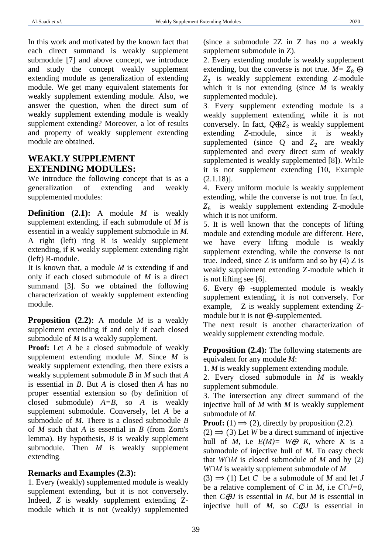In this work and motivated by the known fact that each direct summand is weakly supplement submodule [7] and above concept, we introduce and study the concept weakly supplement extending module as generalization of extending module. We get many equivalent statements for weakly supplement extending module. Also, we answer the question, when the direct sum of weakly supplement extending module is weakly supplement extending? Moreover, a lot of results and property of weakly supplement extending module are obtained.

## **WEAKLY SUPPLEMENT EXTENDING MODULES:**

We introduce the following concept that is as a generalization of extending and weakly supplemented modules:

**Definition (2.1):** A module *M* is weakly supplement extending, if each submodule of *M* is essential in a weakly supplement submodule in *M*. A right (left) ring R is weakly supplement extending, if R weakly supplement extending right (left) R-module.

It is known that, a module *M* is extending if and only if each closed submodule of *M* is a direct summand [3]. So we obtained the following characterization of weakly supplement extending module.

**Proposition (2.2):** A module *M* is a weakly supplement extending if and only if each closed submodule of *M* is a weakly supplement.

**Proof:** Let *A* be a closed submodule of weakly supplement extending module *M*. Since *M* is weakly supplement extending, then there exists a weakly supplement submodule *B* in *M* such that *A* is essential in *B*. But *A* is closed then *A* has no proper essential extension so (by definition of closed submodule) *A=B*, so *A* is weakly supplement submodule. Conversely, let *A* be a submodule of *M*. There is a closed submodule *B* of *M* such that *A* is essential in *B* (from Zorn's lemma). By hypothesis, *B* is weakly supplement submodule. Then *M* is weakly supplement extending.

#### **Remarks and Examples (2.3):**

1. Every (weakly) supplemented module is weakly supplement extending, but it is not conversely. Indeed*, Z* is weakly supplement extending Zmodule which it is not (weakly) supplemented (since a submodule 2Z in Z has no a weakly supplement submodule in Z).

2. Every extending module is weakly supplement extending, but the converse is not true.  $M = Z_8 \oplus$ <sup>2</sup> is weakly supplement extending *Z*-module which it is not extending (since *M* is weakly supplemented module).

3. Every supplement extending module is a weakly supplement extending, while it is not conversely. In fact,  $Q \oplus Z_2$  is weakly supplement extending  $Z$ -module, since it is weakly since it is weakly supplemented (since  $Q$  and  $Z_2$  are weakly supplemented and every direct sum of weakly supplemented is weakly supplemented [8]). While it is not supplement extending [10, Example (2.1.18)].

4. Every uniform module is weakly supplement extending, while the converse is not true. In fact,  $Z_6$  is weakly supplement extending Z-module which it is not uniform.

5. It is well known that the concepts of lifting module and extending module are different. Here, we have every lifting module is weakly supplement extending, while the converse is not true. Indeed, since  $Z$  is uniform and so by  $(4)$   $Z$  is weakly supplement extending Z-module which it is not lifting see [6].

6. Every  $\oplus$  -supplemented module is weakly supplement extending, it is not conversely. For example,  $Z$  is weakly supplement extending  $Z$ module but it is not  $\bigoplus$ -supplemented.

The next result is another characterization of weakly supplement extending module.

**Proposition (2.4):** The following statements are equivalent for any module *M*:

1. *M* is weakly supplement extending module.

2. Every closed submodule in *M* is weakly supplement submodule.

3. The intersection any direct summand of the injective hull of *M* with *M* is weakly supplement submodule of *M*.

**Proof:** (1)  $\Rightarrow$  (2), directly by proposition (2.2).

 $(2) \implies (3)$  Let *W* be a direct summand of injective hull of *M*, i.e  $E(M) = W \oplus K$ , where *K* is a submodule of injective hull of *M*. To easy check that *W∩M* is closed submodule of *M* and by (2) *W∩M* is weakly supplement submodule of *M*.

 $(3) \implies (1)$  Let *C* be a submodule of *M* and let *J* be a relative complement of *C* in *M*, i.e *C∩J=0*, then  $C \oplus J$  is essential in *M*, but *M* is essential in injective hull of  $M$ , so  $C \oplus J$  is essential in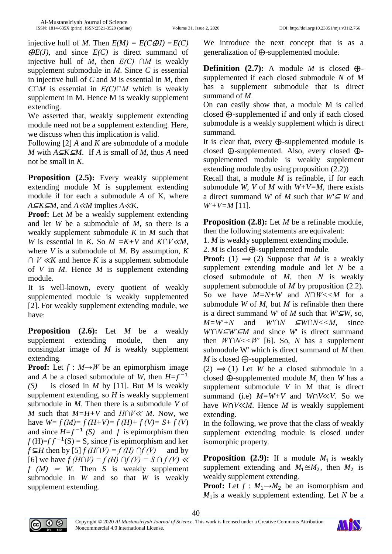injective hull of *M*. Then  $E(M) = E(C \oplus J) = E(C)$  $\Theta E(J)$ , and since  $E(C)$  is direct summand of injective hull of *M,* then *E(C) ∩M* is weakly supplement submodule in *M*. Since *C* is essential in injective hull of *C* and *M* is essential in *M*, then *C∩M* is essential in *E(C)∩M* which is weakly supplement in M. Hence M is weakly supplement extending.

We asserted that, weakly supplement extending module need not be a supplement extending. Here, we discuss when this implication is valid.

Following [2] *A* and *K* are submodule of a module *M* with  $A \subseteq K \subseteq M$ . If *A* is small of *M*, thus *A* need not be small in *K*.

**Proposition (2.5):** Every weakly supplement extending module M is supplement extending module if for each a submodule *A* of K, where *A*⊆*K*⊆*M*, and *A*≪*M* implies *A*≪*K*.

**Proof:** Let *M* be a weakly supplement extending and let *W* be a submodule of *M*, so there is a weakly supplement submodule *K* in *M* such that *W* is essential in *K*. So *M =K+V* and *K∩V*≪*M,*  where *V* is a submodule of *M*. By assumption, *K ∩ V* <sup>≪</sup>*K* and hence *K* is a supplement submodule of *V* in *M*. Hence *M* is supplement extending module.

It is well-known, every quotient of weakly supplemented module is weakly supplemented [2]. For weakly supplement extending module, we have:

**Proposition (2.6):** Let *M* be a weakly supplement extending module, then any nonsingular image of *M* is weakly supplement extending.

**Proof:** Let  $f : M \rightarrow W$  be an epimorphism image and *A* be a closed submodule of *W*, then  $H=f^{-1}$ *(S)* is closed in *M* by [11]. But *M* is weakly supplement extending, so *H* is weakly supplement submodule in *M*. Then there is a submodule *V* of *M* such that *M=H+V* and *H∩V*<sup>≪</sup> *M*. Now, we have  $W=f(M)=f(H+V)=f(H)+f(V)=S+f(V)$ and since  $H=f^{-1}(S)$  and f is epimorphism then  $f(H)=f f^{-1}(S) = S$ , since *f* is epimorphism and ker *f* ⊆*H* then by [5]  $f$  (*H∩V*) =  $f$  (*H*) ∩ $f$  (*V*) and by [6] we have *f (H∩V) = f (H) ∩f (V) = S ∩ f (V)* <sup>≪</sup>  $f(M) = W$ . Then *S* is weakly supplement submodule in *W* and so that *W* is weakly supplement extending.

We introduce the next concept that is as a generalization of  $\oplus$ -supplemented module:

**Definition** (2.7): A module *M* is closed  $\oplus$ supplemented if each closed submodule *N* of *M*  has a supplement submodule that is direct summand of *M*.

On can easily show that, a module M is called closed  $\oplus$ -supplemented if and only if each closed submodule is a weakly supplement which is direct summand.

It is clear that, every  $\bigoplus$ -supplemented module is closed  $\oplus$ -supplemented. Also, every closed  $\oplus$ supplemented module is weakly supplement extending module (by using proposition  $(2.2)$ )

Recall that, a module *M* is refinable, if for each submodule *W*, *V* of *M* with  $W+V=M$ , there exists a direct summand *W*' of *M* such that  $W' \subseteq W$  and *W'+V=M* [11].

**Proposition (2.8):** Let *M* be a refinable module, then the following statements are equivalent:

1. *M* is weakly supplement extending module.

2. *M* is closed  $\bigoplus$ -supplemented module.

**Proof:** (1)  $\Rightarrow$  (2) Suppose that *M* is a weakly supplement extending module and let *N* be a closed submodule of *M*, then *N* is weakly supplement submodule of *M* by proposition (2.2). So we have *M=N+W* and *N∩W<<M* for a submodule *W* of *M*, but *M* is refinable then there is a direct summand *W'* of *M* such that  $W' \subseteq W$ , so, *M*=*W'*+*N* and *W'∩N* ⊆*W∩N*<<*M*, since *W'∩N*⊆*W'*⊆*M* and since *W*' is direct summand then  $W' \cap N \leq W'$  [6]. So, *N* has a supplement submodule W' which is direct summand of *M* then *M* is closed  $\bigoplus$ -supplemented.

 $(2) \implies (1)$  Let *W* be a closed submodule in a closed ⨁-supplemented module *M*, then *W* has a supplement submodule *V* in M that is direct summand (i.e)  $M= W+V$  and  $W\cap V \ll V$ . So we have *W*∩*V*≪*M*. Hence *M* is weakly supplement extending.

In the following, we prove that the class of weakly supplement extending module is closed under isomorphic property.

**Proposition (2.9):** If a module  $M_1$  is weakly supplement extending and  $M_1 \cong M_2$ , then  $M_2$  is weakly supplement extending.

**Proof:** Let  $f : M_1 \rightarrow M_2$  be an isomorphism and  $M_1$ is a weakly supplement extending. Let  $N$  be a



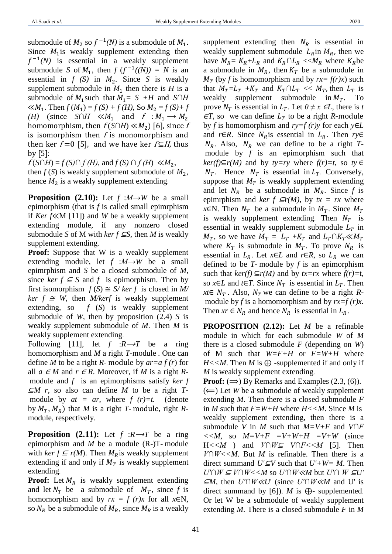submodule of  $M_2$  so  $f^{-1}(N)$  is a submodule of  $M_1$ . Since  $M_1$  is weakly supplement extending then  $f^{-1}(N)$  is essential in a weakly supplement submodule *S* of  $M_1$ , then  $f(f^{-1}((N)) = N$  is an essential in  $f(S)$  in  $M_2$ . Since S is weakly supplement submodule in  $M_1$  then there is *H* is a submodule of  $M_1$  such that  $M_1 = S + H$  and  $S \cap H$  $\ll M_1$ . Then  $f(M_1) = f(S) + f(H)$ , So  $M_2 = f(S) + f$ *(H)* (since *S∩H* ≪ $M_1$  and  $f : M_1 \rightarrow M_2$ homomorphism, then  $f(S \cap H) \ll M_2$ ) [6], since f is isomorphism then  $f$  is monomorphism and then ker  $f = 0$  [5], and we have ker  $f \subseteq H$ , thus by  $[5]$ :

 $f(S \cap H) = f(S) \cap f(H)$ , and  $f(S) \cap f(H) \ll M_2$ , then  $f(S)$  is weakly supplement submodule of  $M_2$ , hence  $M_2$  is a weakly supplement extending.

**Proposition (2.10):** Let  $f : M \rightarrow W$  be a small epimorphism (that is *f* is called small epimrphism if *Ker f*≪M [11]) and *W* be a weakly supplement extending module, if any nonzero closed submodule *S* of M with *ker*  $f \subseteq S$ , then *M* is weakly supplement extending.

**Proof:** Suppose that W is a weakly supplement extending module, let *f* :*M→W* be a small epimrphism and *S* be a closed submodule of *M*, since *ker f*  $\subseteq$  *S* and *f* is epimorphism. Then by first isomorphism  $f(S) \cong S/\text{ker } f$  is closed in M/ *ker f*  $\cong$  *W*, then *M*/*kerf* is weakly supplement extending, so *f* (*S*) is weakly supplement submodule of *W*, then by proposition (2.4) *S* is weakly supplement submodule of *M*. Then *M* is weakly supplement extending.

Following [11], let  $f : R \rightarrow T$  be a ring homomorphism and *M* a right *T-*module . One can define *M* to be a right *R*- module by *ar=a f (r*) for all  $a \in M$  and  $r \in R$ . Moreover, if *M* is a right *R*module and *f* is an epimorphisms satisfy *ker f*  <sup>⊆</sup>*M r,* so also can define *M* to be a right *T*module by  $at = ar$ , where  $f(r)=t$ . (denote by  $M_T$ ,  $M_R$ ) that *M* is a right *T*-module, right *R*module, respectively.

**Proposition** (2.11): Let  $f : R \rightarrow T$  be a ring epimorphism and *M* be a module (R-)T- module with  $ker f \subseteq r(M)$ . Then  $M_R$  is weakly supplement extending if and only if  $M_T$  is weakly supplement extending.

**Proof:** Let  $M_R$  is weakly supplement extending and let  $N_T$  be a submodule of  $M_T$ , since f is homomorphism and by  $rx = f (r)x$  for all  $x \in N$ , so  $N_R$  be a submodule of  $M_R$ , since  $M_R$  is a weakly

supplement extending then  $N_R$  is essential in weakly supplement submodule  $L_R$ in  $M_R$ , then we have  $M_R = K_R + L_R$  and  $K_R \cap L_R \ll M_R$  where  $K_R$ be a submodule in  $M_R$ , then  $K_T$  be a submodule in  $M_T$  (by *f* is homomorphism and by  $rx = f(r)x$ ) such that  $M_T = L_T + K_T$  and  $K_T \cap L_T \ll M_T$ , then  $L_T$  is weakly supplement submodule in  $M_T$ . To prove  $N_T$  is essential in  $L_T$ . Let  $0 \neq x \in L$ , there is *t*  $\epsilon T$ , so we can define  $L_T$  to be a right *R*-module by *f* is homomorphism and *ry=f (r)y* for each *y*∈*L* and *r*∈*R*. Since  $N_R$  is essential in  $L_R$ . Then *ry*∈  $N_R$ . Also,  $N_R$  we can define to be a right *T*module by *f* is an epimorphism such that *ker(f)*⊆*r(M)* and by *ty*=*ry* where *f(r)*=*t*, so *ty* ∈  $N_T$ . Hence  $N_T$  is essential in  $L_T$ . Conversely, suppose that  $M_T$  is weakly supplement extending and let  $N_R$  be a submodule in  $M_R$ . Since f is epimrphism and *ker f*  $\subseteq$ *r(M)*, by  $tx = rx$  where *x*∈N. Then  $N_T$  be a submodule in  $M_T$ . Since  $M_T$ is weakly supplement extending. Then  $N_T$  is essential in weakly supplement submodule  $L<sub>T</sub>$  in  $M_T$ , so we have  $M_T = L_T + K_T$  and  $L_T \cap K_T \ll M_T$ where  $K_T$  is submodule in  $M_T$ . To prove  $N_R$  is essential in  $L_R$ . Let  $x \in L$  and  $r \in R$ , so  $L_R$  we can defined to be *T*- module by *f* is an epimorphism such that  $ker(f) \subseteq r(M)$  and by  $tx = rx$  where  $f(r) = t$ , so *x*∈*L* and *t*∈*T*. Since  $N_T$  is essential in  $L_T$ . Then *xt*∈  $N_T$ . Also,  $N_T$  we can define to be a right Rmodule by *f* is a homomorphism and by  $rx=f(r)x$ . Then  $xr \in N_R$  and hence  $N_R$  is essential in  $L_R$ .

**PROPOSITION (2.12):** Let *M* be a refinable module in which for each submodule *W* of *M* there is a closed submodule *F* (depending on *W*) of M such that *W=F+H* or *F=W+H* where  $H \ll M$ . Then *M* is  $\bigoplus$  -supplemented if and only if *M* is weakly supplement extending.

**Proof:**  $(\Rightarrow)$  By Remarks and Examples  $(2.3, (6))$ .

 $(\Leftarrow)$  Let *W* be a submodule of weakly supplement extending *M*. Then there is a closed submodule *F*  in *M* such that  $F = W + H$  where  $H \leq M$ . Since *M* is weakly supplement extending, then there is a submodule *V* in *M* such that *M=V+F* and *V∩F*   $<, so  $M=V+F$  =V+W+H =V+W (since$ H*<<M* ) and *V∩W*<sup>⊆</sup> *V∩F<<M* [5]. Then *V∩W<<M*. But *M* is refinable. Then there is a direct summand *U'*⊆*V* such that *U'+W= M*. Then *U'∩W* <sup>⊆</sup> *V∩W<<M* so *U'∩W*≪*M* but *U'∩ W* <sup>⊆</sup>*U'*  <sup>⊆</sup>*M*, then *U'∩W*≪*U*' (since *U'∩W*≪*M* and U' is direct summand by [6]). *M* is  $\bigoplus$ - supplemented. Or let W be a submodule of weakly supplement extending *M*. There is a closed submodule *F* in *M*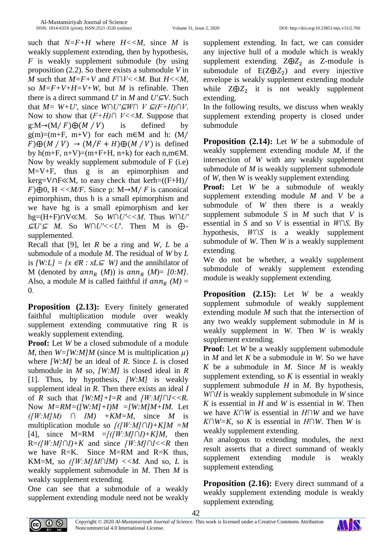such that  $N = F + H$  where  $H \leq M$ , since M is weakly supplement extending, then by hypothesis, *F* is weakly supplement submodule (by using proposition (2.2). So there exists a submodule *V* in *M* such that *M=F+V* and *F∩V<<M*. But *H<<M*, so  $M = F + V + H = V + W$ , but *M* is refinable. Then there is a direct summand *U*' in *M* and  $U' \subseteq V$ . Such that  $M= W+U'$ , since  $W \cap U' \subseteq W \cap V \subseteq (F+H) \cap V$ . Now to show that (*F+H)∩ V<<M*. Suppose that  $g:M\rightarrow (M/F)\oplus (M/V)$  is defined by  $g(m)=(m+F, m+V)$  for each m∈M and h:  $(M/$  $F)\bigoplus (M/V) \rightarrow (M/F+H)\bigoplus (M/V)$  is defined by  $h(m+F, n+V)=(m+F+H, n+k)$  for each  $n,m \in M$ . Now by weakly supplement submodule of F (i.e) M=V+F, thus g is an epimorphism and kerg=V∩F≪M, to easy check that kerh=((F+H)∕  $(F) \oplus 0$ , H << M/F. Since p: M  $\rightarrow$  M/F is canonical epimorphism, thus h is a small epimorphism and we have hg is a small epimorphism and ker hg=(H+F)∩V≪M. So *W∩U'<<M*. Thus *W∩U'*  <sup>⊆</sup>*U'*<sup>⊆</sup> *M.* So *W∩U'<<U*'. Then M is ⊕ supplemented.

Recall that [9], let *R* be a ring and *W, L* be a submodule of a module *M*. The residual of *W* by *L* is  $[W:L] = \{x \in \mathbb{R} : xL \subseteq W\}$  and the annihilator of M (denoted by  $ann_R(M)$ ) is  $ann_R(M) = [0:M]$ . Also, a module *M* is called faithful if  $ann_R (M) =$ 0.

**Proposition (2.13):** Every finitely generated faithful multiplication module over weakly supplement extending commutative ring R is weakly supplement extending.

**Proof:** Let *W* be a closed submodule of a module *M*, then  $W = [W:M/M]$  (since M is multiplication  $\mu$ ) where *[W:M]* be an ideal of *R*. Since *L* is closed submodule in *M* so, *[W:M]* is closed ideal in *R* [1]. Thus, by hypothesis, *[W:M]* is weakly supplement ideal in *R*. Then there exists an ideal *I* of *R* such that *[W:M]+I=R* and *[W:M]∩I<<R.* Now *M=RM=([W:M]+I)M =[W:M]M+IM.* Let *([W:M]M) ∩ IM) +KM=M*, since *M* is multiplication module so *[([W:M]∩I)+K]M =M* [4], since M=RM =*[([W:M]∩I)+K]M*, then R=*([W:M]∩I)+K* and since *[W:M]∩I<<R* then we have R=K*.* Since M=RM and R=K thus, KM=M, so  $([W:M]M\cap IM)$  <<*M*. And so, *L* is weakly supplement submodule in *M*. Then *M* is weakly supplement extending.

One can see that a submodule of a weakly supplement extending module need not be weakly supplement extending. In fact, we can consider any injective hull of a module which is weakly supplement extending.  $Z \oplus Z_2$  as Z-module is submodule of  $E(Z \oplus Z_2)$  and every injective envelope is weakly supplement extending module while  $Z \oplus Z_2$  it is not weakly supplement extending.

In the following results, we discuss when weakly supplement extending property is closed under submodule

**Proposition (2.14):** Let *W* be a submodule of weakly supplement extending module *M*, if the intersection of *W* with any weakly supplement submodule of *M* is weakly supplement submodule of *W*, then W is weakly supplement extending.

**Proof:** Let *W* be a submodule of weakly supplement extending module *M* and *V* be a submodule of *W* then there is a weakly supplement submodule *S* in *M* such that *V* is essential in *S* and so *V* is essential in *W∩S.* By hypothesis, *W∩S* is a weakly supplement submodule of *W*. Then *W* is a weakly supplement extending.

We do not be whether, a weakly supplement submodule of weakly supplement extending module is weakly supplement extending.

**Proposition (2.15):** Let *W* be a weakly supplement submodule of weakly supplement extending module *M* such that the intersection of any two weakly supplement submodule in *M* is weakly supplement in *W.* Then *W* is weakly supplement extending.

**Proof:** Let *W* be a weakly supplement submodule in *M* and let *K* be a submodule in *W.* So we have *K* be a submodule in *M*. Since *M* is weakly supplement extending, so *K* is essential in weakly supplement submodule *H* in *M*. By hypothesis, *W∩H* is weakly supplement submodule in *W* since *K* is essential in *H* and *W* is essential in *W.* Then we have *K∩W* is essential in *H∩W* and we have *K∩W=K*, so *K* is essential in *H∩W*. Then *W* is weakly supplement extending.

An analogous to extending modules, the next result asserts that a direct summand of weakly supplement extending module is weakly supplement extending.

**Proposition (2.16):** Every direct summand of a weakly supplement extending module is weakly supplement extending.



42

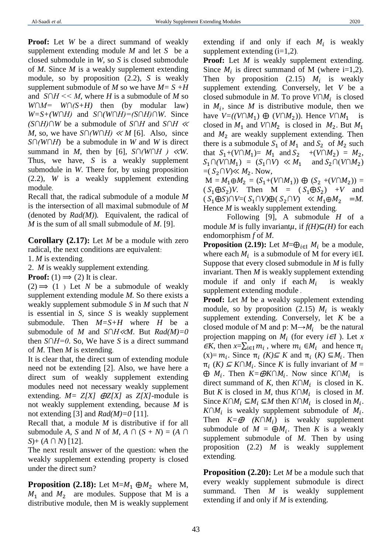**Proof:** Let *W* be a direct summand of weakly supplement extending module *M* and let *S* be a closed submodule in *W,* so *S* is closed submodule of *M*. Since *M* is a weakly supplement extending module, so by proposition (2.2), *S* is weakly supplement submodule of *M* so we have  $M = S + H$ and *S∩H << M*, where *H* is a submodule of *M* so *W∩M= W∩(S+H)* then (by modular law) *W=S+(W∩H)* and *S∩(W∩H)=(S∩H)∩W*. Since *(S∩H)∩W* be a submodule of *S∩H* and *S∩H* <sup>≪</sup> *M*, so, we have *S∩(W∩H)*  $\ll M$  [6]. Also, since *S∩(W∩H*) be a submodule in *W* and *W* is direct summand in *M*, then by [6],  $S \cap (W \cap H) \ll W$ . Thus, we have, *S* is a weakly supplement submodule in *W*. There for, by using proposition (2.2), *W* is a weakly supplement extending module.

Recall that, the radical submodule of a module *M*  is the intersection of all maximal submodule of *M* (denoted by *Rad(M)*)*.* Equivalent, the radical of *M* is the sum of all small submodule of *M*. [9].

**Corollary (2.17):** Let *M* be a module with zero radical, the next conditions are equivalent:

1. *M* is extending.

2. *M* is weakly supplement extending.

**Proof:** (1)  $\Rightarrow$  (2) It is clear.

 $(2) \implies (1)$  Let *N* be a submodule of weakly supplement extending module *M.* So there exists a weakly supplement submodule *S* in *M* such that *N* is essential in *S,* since *S* is weakly supplement submodule. Then *M=S+H* where *H* be a submodule of *M* and *S∩H*≪*M*. But *Rad(M)=0* then *S∩H=0*. So, We have *S* is a direct summand of *M*. Then *M* is extending.

It is clear that, the direct sum of extending module need not be extending [2]. Also, we have here a direct sum of weakly supplement extending modules need not necessary weakly supplement extending.  $M = Z[X]$   $\bigoplus Z[X]$  as  $Z[X]$ -module is not weakly supplement extending, because *M* is not extending [3] and  $Rad(M)=0$  [11].

Recall that, a module *M* is distributive if for all submodule *A*, *S* and *N* of *M*, *A*  $\cap$  (*S* + *N*) = (*A*  $\cap$ *S*)+ (*A ∩ N*) [12].

The next result answer of the question: when the weakly supplement extending property is closed under the direct sum?

**Proposition (2.18):** Let  $M=M_1 \oplus M_2$  where M,  $M_1$  and  $M_2$  are modules. Suppose that M is a distributive module, then M is weakly supplement

extending if and only if each  $M_i$  is weakly supplement extending  $(i=1,2)$ .

**Proof:** Let *M* is weakly supplement extending. Since  $M_i$  is direct summand of M (where i=1,2). Then by proposition (2.15)  $M_i$  is weakly supplement extending. Conversely, let *V* be a closed submodule in *M*. To prove  $V \cap M_i$  is closed in  $M_i$ , since  $M$  is distributive module, then we have  $V=(V \cap M_1) \oplus (V \cap M_2)$ ). Hence  $V \cap M_1$  is closed in  $M_1$  and  $V \cap M_2$  is closed in  $M_2$ . But  $M_1$ and  $M_2$  are weakly supplement extending. Then there is a submodule  $S_1$  of  $M_1$  and  $S_2$  of  $M_2$  such that  $S_1+(V \cap M_1) = M_1$  and  $S_2 + (V \cap M_2) = M_2$ ,  $S_1 \cap (V \cap M_1) = (S_1 \cap V) \ll M_1$  and  $S_2 \cap (V \cap M_2)$  $=( S_2 \cap V) \ll M_2$ . Now,

 $M = M_1 \oplus M_2 = (S_1 + (V \cap M_1)) \oplus (S_2 + (V \cap M_2)) =$  $(S_1 \oplus S_2)V$ . Then M =  $(S_1 \oplus S_2)$  +V and  $(S_1 \oplus S) \cap V = (S_1 \cap V) \oplus (S_2 \cap V) \ll M_1 \oplus M_2 = M.$ Hence *M* is weakly supplement extending.

Following [9], A submodule *H* of a module *M* is fully invariant $\mu$ , if  $f(H) \subseteq (H)$  for each endomorphism *f* of *M*.

**Proposition (2.19):** Let  $M=\bigoplus_{i\in I} M_i$  be a module, where each  $M_i$  is a submodule of M for every i $\in$ I. Suppose that every closed submodule in *M* is fully invariant. Then *M* is weakly supplement extending module if and only if each  $M_i$  is weakly supplement extending module .

**Proof:** Let *M* be a weakly supplement extending module, so by proposition (2.15)  $M_i$  is weakly supplement extending. Conversely, let *K* be a closed module of M and p:  $M \rightarrow M_i$  be the natural projection mapping on  $M_i$  (for every  $i \in I$ ). Let *x*  $\epsilon K$ , then  $x = \sum_{i \in I} m_i$ , where  $m_i \in M_i$  and hence  $\pi_i$  $(x)=m_i$ . Since  $\pi_i$  (*K*)  $\subseteq$  *K* and  $\pi_i$  (*K*)  $\subseteq$  *M*<sub>*i*</sub>. Then  $\pi_i$  (*K*)  $\subseteq K \cap M_i$ . Since *K* is fully invariant of *M* =  $\oplus M_i$ . Then  $K = \oplus K \cap M_i$ . Now since  $K \cap M_i$  is direct summand of *K*, then  $K \cap M_i$  is closed in K. But *K* is closed in *M*, thus  $K \cap M_i$  is closed in *M*. Since  $K \cap M_i \subseteq M_i$   $\subseteq M$  then  $K \cap M_i$  is closed in  $M_i$ .  $K \cap M_i$  is weakly supplement submodule of  $M_i$ . Then  $K = \mathcal{D}$   $(K \cap M_i)$  is weakly supplement submodule of  $M = \bigoplus M_i$ . Then *K* is a weakly supplement submodule of *M*. Then by using proposition (2.2) *M* is weakly supplement extending.

**Proposition (2.20):** Let *M* be a module such that every weakly supplement submodule is direct summand. Then *M* is weakly supplement extending if and only if *M* is extending.